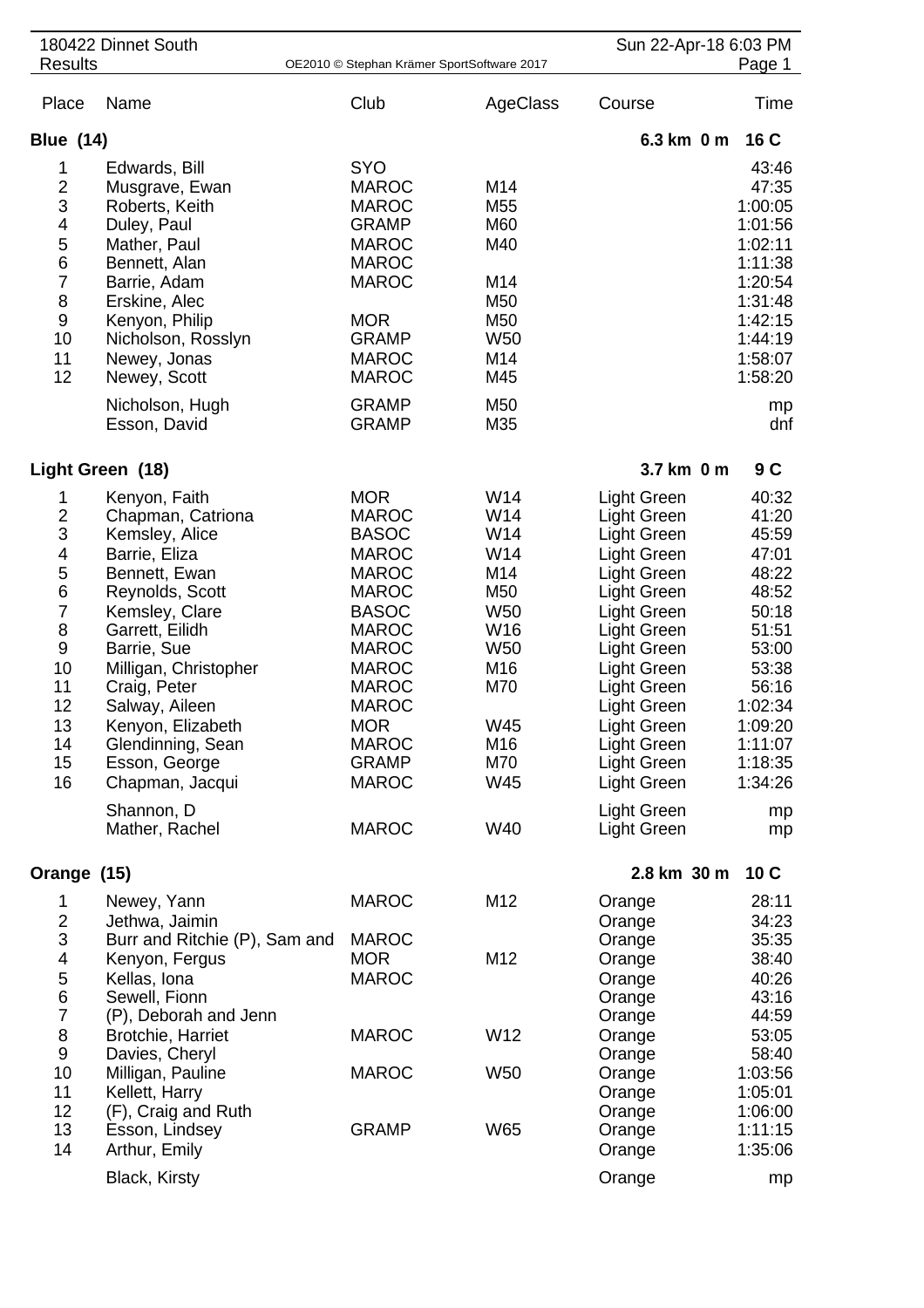| <b>Results</b>                                                                                                             | 180422 Dinnet South                                                                                                                                                                                                                                                                                                                    | OE2010 © Stephan Krämer SportSoftware 2017                                                                                                                                                                                                                               |                                                                                                                                      | Sun 22-Apr-18 6:03 PM                                                                                                                                                                                                                                                      |                                                                                                                                                                    |
|----------------------------------------------------------------------------------------------------------------------------|----------------------------------------------------------------------------------------------------------------------------------------------------------------------------------------------------------------------------------------------------------------------------------------------------------------------------------------|--------------------------------------------------------------------------------------------------------------------------------------------------------------------------------------------------------------------------------------------------------------------------|--------------------------------------------------------------------------------------------------------------------------------------|----------------------------------------------------------------------------------------------------------------------------------------------------------------------------------------------------------------------------------------------------------------------------|--------------------------------------------------------------------------------------------------------------------------------------------------------------------|
|                                                                                                                            |                                                                                                                                                                                                                                                                                                                                        |                                                                                                                                                                                                                                                                          |                                                                                                                                      |                                                                                                                                                                                                                                                                            | Page 1                                                                                                                                                             |
| Place                                                                                                                      | Name                                                                                                                                                                                                                                                                                                                                   | Club                                                                                                                                                                                                                                                                     | AgeClass                                                                                                                             | Course                                                                                                                                                                                                                                                                     | Time                                                                                                                                                               |
| <b>Blue (14)</b>                                                                                                           |                                                                                                                                                                                                                                                                                                                                        |                                                                                                                                                                                                                                                                          |                                                                                                                                      | 6.3 km 0 m                                                                                                                                                                                                                                                                 | 16 C                                                                                                                                                               |
| 1<br>$\overline{2}$<br>3<br>4<br>5<br>6<br>$\overline{7}$<br>8<br>$\boldsymbol{9}$<br>10<br>11<br>12                       | Edwards, Bill<br>Musgrave, Ewan<br>Roberts, Keith<br>Duley, Paul<br>Mather, Paul<br>Bennett, Alan<br>Barrie, Adam<br>Erskine, Alec<br>Kenyon, Philip<br>Nicholson, Rosslyn<br>Newey, Jonas<br>Newey, Scott<br>Nicholson, Hugh<br>Esson, David                                                                                          | <b>SYO</b><br><b>MAROC</b><br><b>MAROC</b><br><b>GRAMP</b><br><b>MAROC</b><br><b>MAROC</b><br><b>MAROC</b><br><b>MOR</b><br><b>GRAMP</b><br><b>MAROC</b><br><b>MAROC</b><br><b>GRAMP</b><br><b>GRAMP</b>                                                                 | M14<br>M <sub>55</sub><br>M60<br>M40<br>M14<br>M50<br>M50<br>W <sub>50</sub><br>M14<br>M45<br>M50<br>M35                             |                                                                                                                                                                                                                                                                            | 43:46<br>47:35<br>1:00:05<br>1:01:56<br>1:02:11<br>1:11:38<br>1:20:54<br>1:31:48<br>1:42:15<br>1:44:19<br>1:58:07<br>1:58:20<br>mp<br>dnf                          |
|                                                                                                                            | Light Green (18)                                                                                                                                                                                                                                                                                                                       |                                                                                                                                                                                                                                                                          |                                                                                                                                      | 3.7 km 0 m                                                                                                                                                                                                                                                                 | 9 C                                                                                                                                                                |
| 1<br>$\frac{2}{3}$<br>4<br>5<br>$\,6$<br>$\overline{7}$<br>8<br>$\boldsymbol{9}$<br>10<br>11<br>12<br>13<br>14<br>15<br>16 | Kenyon, Faith<br>Chapman, Catriona<br>Kemsley, Alice<br>Barrie, Eliza<br>Bennett, Ewan<br>Reynolds, Scott<br>Kemsley, Clare<br>Garrett, Eilidh<br>Barrie, Sue<br>Milligan, Christopher<br>Craig, Peter<br>Salway, Aileen<br>Kenyon, Elizabeth<br>Glendinning, Sean<br>Esson, George<br>Chapman, Jacqui<br>Shannon, D<br>Mather, Rachel | <b>MOR</b><br><b>MAROC</b><br><b>BASOC</b><br><b>MAROC</b><br><b>MAROC</b><br><b>MAROC</b><br><b>BASOC</b><br><b>MAROC</b><br><b>MAROC</b><br><b>MAROC</b><br><b>MAROC</b><br><b>MAROC</b><br><b>MOR</b><br><b>MAROC</b><br><b>GRAMP</b><br><b>MAROC</b><br><b>MAROC</b> | W14<br>W14<br>W14<br>W14<br>M14<br>M50<br>W <sub>50</sub><br>W16<br>W <sub>50</sub><br>M16<br>M70<br>W45<br>M16<br>M70<br>W45<br>W40 | Light Green<br>Light Green<br>Light Green<br>Light Green<br>Light Green<br>Light Green<br>Light Green<br>Light Green<br>Light Green<br>Light Green<br>Light Green<br>Light Green<br>Light Green<br>Light Green<br>Light Green<br>Light Green<br>Light Green<br>Light Green | 40:32<br>41:20<br>45:59<br>47:01<br>48:22<br>48:52<br>50:18<br>51:51<br>53:00<br>53:38<br>56:16<br>1:02:34<br>1:09:20<br>1:11:07<br>1:18:35<br>1:34:26<br>mp<br>mp |
| Orange                                                                                                                     | (15)                                                                                                                                                                                                                                                                                                                                   |                                                                                                                                                                                                                                                                          |                                                                                                                                      | 2.8 km 30 m                                                                                                                                                                                                                                                                | 10C                                                                                                                                                                |
| 1<br>$\frac{2}{3}$<br>4<br>5<br>6<br>$\overline{7}$<br>8<br>9<br>10<br>11<br>12<br>13<br>14                                | Newey, Yann<br>Jethwa, Jaimin<br>Burr and Ritchie (P), Sam and<br>Kenyon, Fergus<br>Kellas, Iona<br>Sewell, Fionn<br>(P), Deborah and Jenn<br><b>Brotchie, Harriet</b><br>Davies, Cheryl<br>Milligan, Pauline<br>Kellett, Harry<br>(F), Craig and Ruth<br>Esson, Lindsey<br>Arthur, Emily                                              | <b>MAROC</b><br><b>MAROC</b><br><b>MOR</b><br><b>MAROC</b><br><b>MAROC</b><br><b>MAROC</b><br><b>GRAMP</b>                                                                                                                                                               | M12<br>M12<br>W12<br>W <sub>50</sub><br>W65                                                                                          | Orange<br>Orange<br>Orange<br>Orange<br>Orange<br>Orange<br>Orange<br>Orange<br>Orange<br>Orange<br>Orange<br>Orange<br>Orange<br>Orange                                                                                                                                   | 28:11<br>34:23<br>35:35<br>38:40<br>40:26<br>43:16<br>44:59<br>53:05<br>58:40<br>1:03:56<br>1:05:01<br>1:06:00<br>1:11:15<br>1:35:06                               |
|                                                                                                                            | <b>Black, Kirsty</b>                                                                                                                                                                                                                                                                                                                   |                                                                                                                                                                                                                                                                          |                                                                                                                                      | Orange                                                                                                                                                                                                                                                                     | mp                                                                                                                                                                 |